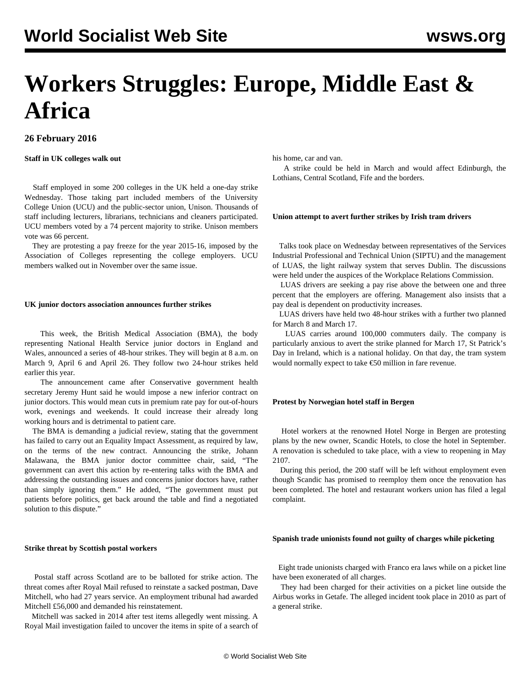# **Workers Struggles: Europe, Middle East & Africa**

# **26 February 2016**

# **Staff in UK colleges walk out**

 Staff employed in some 200 colleges in the UK held a one-day strike Wednesday. Those taking part included members of the University College Union (UCU) and the public-sector union, Unison. Thousands of staff including lecturers, librarians, technicians and cleaners participated. UCU members voted by a 74 percent majority to strike. Unison members vote was 66 percent.

 They are protesting a pay freeze for the year 2015-16, imposed by the Association of Colleges representing the college employers. UCU members walked out in November over the same issue.

#### **UK junior doctors association announces further strikes**

 This week, the British Medical Association (BMA), the body representing National Health Service junior doctors in England and Wales, announced a series of 48-hour strikes. They will begin at 8 a.m. on March 9, April 6 and April 26. They follow two 24-hour strikes held earlier this year.

 The announcement came after Conservative government health secretary Jeremy Hunt said he would [impose](/en/articles/2016/02/12/docs-f12.html) a new inferior contract on junior doctors. This would mean cuts in premium rate pay for out-of-hours work, evenings and weekends. It could increase their already long working hours and is detrimental to patient care.

 The BMA is demanding a judicial review, stating that the government has failed to carry out an Equality Impact Assessment, as required by law, on the terms of the new contract. Announcing the strike, Johann Malawana, the BMA junior doctor committee chair, said, "The government can avert this action by re-entering talks with the BMA and addressing the outstanding issues and concerns junior doctors have, rather than simply ignoring them." He added, "The government must put patients before politics, get back around the table and find a negotiated solution to this dispute."

#### **Strike threat by Scottish postal workers**

 Postal staff across Scotland are to be balloted for strike action. The threat comes after Royal Mail refused to reinstate a sacked postman, Dave Mitchell, who had 27 years service. An employment tribunal had awarded Mitchell £56,000 and demanded his reinstatement.

 Mitchell was sacked in 2014 after test items allegedly went missing. A Royal Mail investigation failed to uncover the items in spite of a search of his home, car and van.

 A strike could be held in March and would affect Edinburgh, the Lothians, Central Scotland, Fife and the borders.

#### **Union attempt to avert further strikes by Irish tram drivers**

 Talks took place on Wednesday between representatives of the Services Industrial Professional and Technical Union (SIPTU) and the management of LUAS, the light railway system that serves Dublin. The discussions were held under the auspices of the Workplace Relations Commission.

 LUAS drivers are seeking a pay rise above the between one and three percent that the employers are offering. Management also insists that a pay deal is dependent on productivity increases.

 LUAS drivers have held two 48-hour strikes with a further two planned for March 8 and March 17.

 LUAS carries around 100,000 commuters daily. The company is particularly anxious to avert the strike planned for March 17, St Patrick's Day in Ireland, which is a national holiday. On that day, the tram system would normally expect to take €50 million in fare revenue.

#### **Protest by Norwegian hotel staff in Bergen**

 Hotel workers at the renowned Hotel Norge in Bergen are protesting plans by the new owner, Scandic Hotels, to close the hotel in September. A renovation is scheduled to take place, with a view to reopening in May 2107.

 During this period, the 200 staff will be left without employment even though Scandic has promised to reemploy them once the renovation has been completed. The hotel and restaurant workers union has filed a legal complaint.

#### **Spanish trade unionists found not guilty of charges while picketing**

 Eight trade unionists charged with Franco era laws while on a picket line have been exonerated of all charges.

 They had been charged for their activities on a picket line outside the Airbus works in Getafe. The alleged incident took place in 2010 as part of a general strike.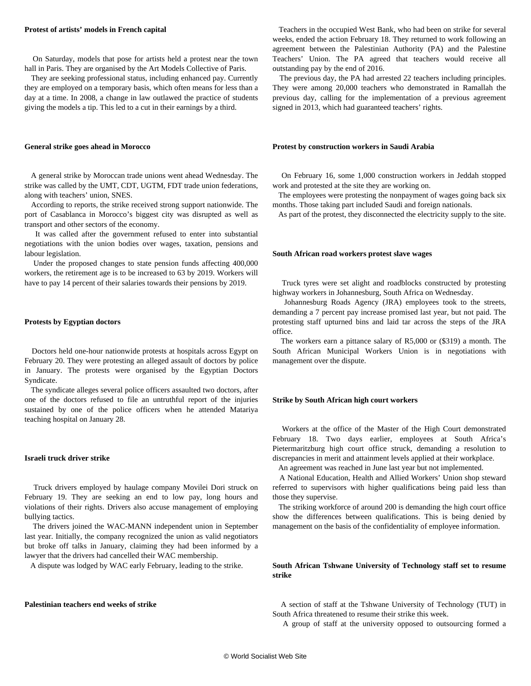#### **Protest of artists' models in French capital**

 On Saturday, models that pose for artists held a protest near the town hall in Paris. They are organised by the Art Models Collective of Paris.

 They are seeking professional status, including enhanced pay. Currently they are employed on a temporary basis, which often means for less than a day at a time. In 2008, a change in law outlawed the practice of students giving the models a tip. This led to a cut in their earnings by a third.

### **General strike goes ahead in Morocco**

 A general strike by Moroccan trade unions went ahead Wednesday. The strike was called by the UMT, CDT, UGTM, FDT trade union federations, along with teachers' union, SNES.

 According to reports, the strike received strong support nationwide. The port of Casablanca in Morocco's biggest city was disrupted as well as transport and other sectors of the economy.

 It was called after the government refused to enter into substantial negotiations with the union bodies over wages, taxation, pensions and labour legislation.

 Under the proposed changes to state pension funds affecting 400,000 workers, the retirement age is to be increased to 63 by 2019. Workers will have to pay 14 percent of their salaries towards their pensions by 2019.

#### **Protests by Egyptian doctors**

 Doctors held one-hour nationwide protests at hospitals across Egypt on February 20. They were protesting an alleged assault of doctors by police in January. The protests were organised by the Egyptian Doctors Syndicate.

 The syndicate alleges several police officers assaulted two doctors, after one of the doctors refused to file an untruthful report of the injuries sustained by one of the police officers when he attended Matariya teaching hospital on January 28.

#### **Israeli truck driver strike**

 Truck drivers employed by haulage company Movilei Dori struck on February 19. They are seeking an end to low pay, long hours and violations of their rights. Drivers also accuse management of employing bullying tactics.

 The drivers joined the WAC-MANN independent union in September last year. Initially, the company recognized the union as valid negotiators but broke off talks in January, claiming they had been informed by a lawyer that the drivers had cancelled their WAC membership.

A dispute was lodged by WAC early February, leading to the strike.

# **Palestinian teachers end weeks of strike**

 Teachers in the occupied West Bank, who had been on strike for several weeks, ended the action February 18. They returned to work following an agreement between the Palestinian Authority (PA) and the Palestine Teachers' Union. The PA agreed that teachers would receive all outstanding pay by the end of 2016.

 The previous day, the PA had arrested 22 teachers including principles. They were among 20,000 teachers who demonstrated in Ramallah the previous day, calling for the implementation of a previous agreement signed in 2013, which had guaranteed teachers' rights.

#### **Protest by construction workers in Saudi Arabia**

 On February 16, some 1,000 construction workers in Jeddah stopped work and protested at the site they are working on.

 The employees were protesting the nonpayment of wages going back six months. Those taking part included Saudi and foreign nationals.

As part of the protest, they disconnected the electricity supply to the site.

#### **South African road workers protest slave wages**

 Truck tyres were set alight and roadblocks constructed by protesting highway workers in Johannesburg, South Africa on Wednesday.

 Johannesburg Roads Agency (JRA) employees took to the streets, demanding a 7 percent pay increase promised last year, but not paid. The protesting staff upturned bins and laid tar across the steps of the JRA office.

 The workers earn a pittance salary of R5,000 or (\$319) a month. The South African Municipal Workers Union is in negotiations with management over the dispute.

#### **Strike by South African high court workers**

 Workers at the office of the Master of the High Court demonstrated February 18. Two days earlier, employees at South Africa's Pietermaritzburg high court office struck, demanding a resolution to discrepancies in merit and attainment levels applied at their workplace.

 An agreement was reached in June last year but not implemented. A National Education, Health and Allied Workers' Union shop steward

referred to supervisors with higher qualifications being paid less than those they supervise.

 The striking workforce of around 200 is demanding the high court office show the differences between qualifications. This is being denied by management on the basis of the confidentiality of employee information.

# **South African Tshwane University of Technology staff set to resume strike**

 A section of staff at the Tshwane University of Technology (TUT) in South Africa threatened to resume their strike this week.

A group of staff at the university opposed to outsourcing formed a